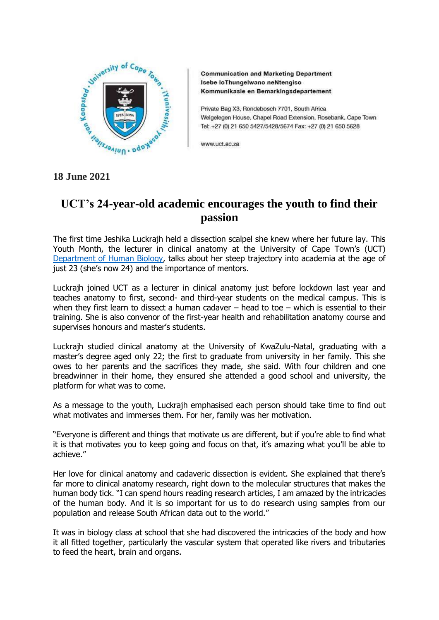

**Communication and Marketing Department** Isebe loThungelwano neNtengiso Kommunikasie en Bemarkingsdepartement

Private Bag X3, Rondebosch 7701, South Africa Welgelegen House, Chapel Road Extension, Rosebank, Cape Town Tel: +27 (0) 21 650 5427/5428/5674 Fax: +27 (0) 21 650 5628

www.uct.ac.za

## **18 June 2021**

## **UCT's 24-year-old academic encourages the youth to find their passion**

The first time Jeshika Luckrajh held a dissection scalpel she knew where her future lay. This Youth Month, the lecturer in clinical anatomy at the University of Cape Town's (UCT) [Department of Human Biology,](http://www.humanbiology.uct.ac.za/) talks about her steep trajectory into academia at the age of just 23 (she's now 24) and the importance of mentors.

Luckrajh joined UCT as a lecturer in clinical anatomy just before lockdown last year and teaches anatomy to first, second- and third-year students on the medical campus. This is when they first learn to dissect a human cadaver – head to toe – which is essential to their training. She is also convenor of the first-year health and rehabilitation anatomy course and supervises honours and master's students.

Luckrajh studied clinical anatomy at the University of KwaZulu-Natal, graduating with a master's degree aged only 22; the first to graduate from university in her family. This she owes to her parents and the sacrifices they made, she said. With four children and one breadwinner in their home, they ensured she attended a good school and university, the platform for what was to come.

As a message to the youth, Luckrajh emphasised each person should take time to find out what motivates and immerses them. For her, family was her motivation.

"Everyone is different and things that motivate us are different, but if you're able to find what it is that motivates you to keep going and focus on that, it's amazing what you'll be able to achieve."

Her love for clinical anatomy and cadaveric dissection is evident. She explained that there's far more to clinical anatomy research, right down to the molecular structures that makes the human body tick. "I can spend hours reading research articles, I am amazed by the intricacies of the human body. And it is so important for us to do research using samples from our population and release South African data out to the world."

It was in biology class at school that she had discovered the intricacies of the body and how it all fitted together, particularly the vascular system that operated like rivers and tributaries to feed the heart, brain and organs.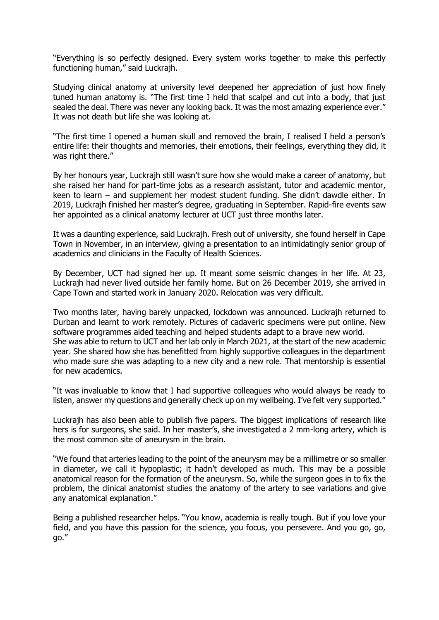"Everything is so perfectly designed. Every system works together to make this perfectly functioning human," said Luckrajh.

Studying clinical anatomy at university level deepened her appreciation of just how finely tuned human anatomy is. "The first time I held that scalpel and cut into a body, that just sealed the deal. There was never any looking back. It was the most amazing experience ever." It was not death but life she was looking at.

"The first time I opened a human skull and removed the brain, I realised I held a person's entire life: their thoughts and memories, their emotions, their feelings, everything they did, it was right there."

By her honours year, Luckrajh still wasn't sure how she would make a career of anatomy, but she raised her hand for part-time jobs as a research assistant, tutor and academic mentor, keen to learn – and supplement her modest student funding. She didn't dawdle either. In 2019, Luckrajh finished her master's degree, graduating in September. Rapid-fire events saw her appointed as a clinical anatomy lecturer at UCT just three months later.

It was a daunting experience, said Luckrajh. Fresh out of university, she found herself in Cape Town in November, in an interview, giving a presentation to an intimidatingly senior group of academics and clinicians in the Faculty of Health Sciences.

By December, UCT had signed her up. It meant some seismic changes in her life. At 23, Luckrajh had never lived outside her family home. But on 26 December 2019, she arrived in Cape Town and started work in January 2020. Relocation was very difficult.

Two months later, having barely unpacked, lockdown was announced. Luckrajh returned to Durban and learnt to work remotely. Pictures of cadaveric specimens were put online. New software programmes aided teaching and helped students adapt to a brave new world. She was able to return to UCT and her lab only in March 2021, at the start of the new academic year. She shared how she has benefitted from highly supportive colleagues in the department who made sure she was adapting to a new city and a new role. That mentorship is essential for new academics.

"It was invaluable to know that I had supportive colleagues who would always be ready to listen, answer my questions and generally check up on my wellbeing. I've felt very supported."

Luckrajh has also been able to publish five papers. The biggest implications of research like hers is for surgeons, she said. In her master's, she investigated a 2 mm-long artery, which is the most common site of aneurysm in the brain.

"We found that arteries leading to the point of the aneurysm may be a millimetre or so smaller in diameter, we call it hypoplastic; it hadn't developed as much. This may be a possible anatomical reason for the formation of the aneurysm. So, while the surgeon goes in to fix the problem, the clinical anatomist studies the anatomy of the artery to see variations and give any anatomical explanation."

Being a published researcher helps. "You know, academia is really tough. But if you love your field, and you have this passion for the science, you focus, you persevere. And you go, go, go."